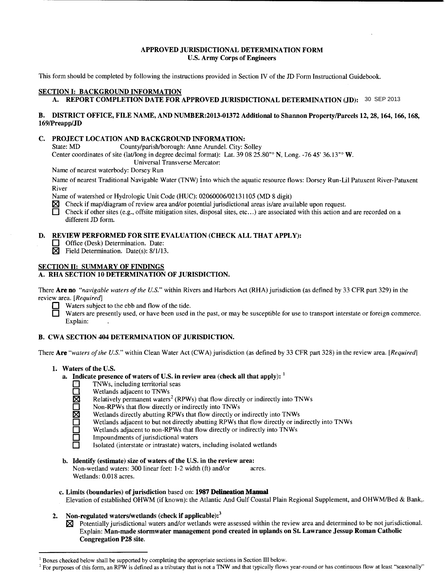## APPROVED JURISDICTIONAL DETERMINATION FORM U.S. Army Corps of Engineers

This form should be completed by following the instructions provided in Section IV of the JD Form Instructional Guidebook.

## SECTION 1: BACKGROUND INFORMATION

A. REPORT COMPLETION DATE FOR APPROVED JURISDICTIONAL DETERMINATION (JD): 30 SEP 2013

## B. DISTRICT OFFICE, FILE NAME, AND NUMBER:2013-01372 Additional to Shannon Property/Parcels 12, 28, 164, 166, 168, 169/Preapp/JD

### C. PROJECT LOCATION AND BACKGROUND INFORMATION:

State: MD County/parish/borough: Anne Arundel. City: Solley

Center coordinates of site (lat/long in degree decimal format): Lat. 39 08 25.80" N, Long. -76 45' 36.13" W.

Universal Transverse Mercator:

Name of nearest waterbody: Dorsey Run

Name of nearest Traditional Navigable Water (TNW) into which the aquatic resource flows: Dorsey Run-Lil Patuxent River-Patuxent River

Name of watershed or Hydrologic Unit Code (HUC): 02060006/02131105 (MD 8 digit)

- $\boxtimes$  Check if map/diagram of review area and/or potential jurisdictional areas is/are available upon request.
- 0 Check if other sites (e.g., offsite mitigation sites, disposal sites, etc ... ) are associated with this action and are recorded on a different JD form.

## D. REVIEW PERFORMED FOR SITE EVALUATION (CHECK ALL THAT APPLY):

- Office (Desk) Determination. Date:<br>  $\vec{X}$  Field Determination. Date(s): 8/1/13
	- Field Determination. Date(s): 8/1/13.

## SECTION II: SUMMARY OF FINDINGS

## A. RHA SECTION 10 DETERMINATION OF JURISDICTION.

There Are no *"navigable waters of the U.S."* within Rivers and Harbors Act (RHA) jurisdiction (as defined by 33 CFR part 329) in the review area. *[Required]* 

Waters subject to the ebb and flow of the tide.

Waters are presently used, or have been used in the past, or may be susceptible for use to transport interstate or foreign commerce. Explain:

## B. CWA SECTION 404 DETERMINATION OF JURISDICTION.

There Are *"waters of the U.S."* within Clean Water Act (CWA) jurisdiction (as defined by 33 CFR part 328) in the review area. *[Required]* 

- 1. Waters of the U.S.
	- a. Indicate presence of waters of U.S. in review area (check all that apply):  $<sup>1</sup>$ </sup>
		- $\Box$  TNWs, including territorial seas
			- Wetlands adjacent to TNWs
			- Relatively permanent waters<sup>2</sup> (RPWs) that flow directly or indirectly into TNWs
		- Non-RPWs that flow directly or indirectly into TNWs
		- Wetlands directly abutting RPWs that flow directly or indirectly into TNWs
		- Wetlands adjacent to but not directly abutting RPWs that flow directly or indirectly into TNWs
		- Wetlands adjacent to non-RPWs that flow directly or indirectly into TNWs
		- $\Box$  Impoundments of jurisdictional waters<br> $\Box$  Isolated (interstate or intrastate) waters

0 Isolated (interstate or intrastate) waters, including isolated wetlands

- b. Identify (estimate) size of waters of the U.S. in the review area: Non-wetland waters: 300 linear feet: 1-2 width (ft) and/or acres. Wetlands: 0.018 acres.
- c. Limits (boundaries) of jurisdiction based on: 1987 Delineation Manual Elevation of established OHWM (if known): the Atlantic And Gulf Coastal Plain Regional Supplement, and OHWM/Bed & Bank,.
- 2. Non-regulated waters/wetlands (check if applicable): $3$
- $\boxtimes$  Potentially jurisdictional waters and/or wetlands were assessed within the review area and determined to be not jurisdictional. Explain: Man-made stormwater management pond created in uplands on St. Lawrance Jessup Roman Catholic Congregation P28 site. A BODNEY COMPUTER ON AT EVOLUTION AND THE SECTION AND THE SECTION CONSULTION (SETIMATED VIDEO AND AND INCREASED IN THE SECTION ASSESS TO A CONSULTION (SETIMATED VIDEO AND THE SECTION AND BACKGROUND INFORMATION:<br>
SETTING T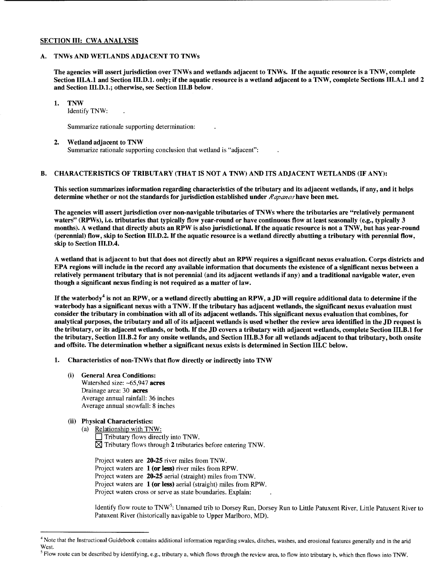### SECTION III: CWA ANALYSIS

## A. TNWs AND WETLANDS ADJACENT TO TNWs

The agencies will assert jurisdiction over TNWs and wetlands adjacent to TNWs. If the aquatic resource is a TNW, complete Section III.A.l and Section III.D.l. only; if the aquatic resource is a wetland adjacent to a TNW, complete Sections III.A.l and 2 and Section III.D.l.; otherwise, see Section III.B below.

#### 1. TNW

Identify TNW:

Summarize rationale supporting determination:

#### 2. Wetland adjacent to TNW Summarize rationale supporting conclusion that wetland is "adjacent":

### B. CHARACTERISTICS OF TRIBUTARY (THAT IS NOT A TNW) AND ITS ADJACENT WETLANDS (IF ANY):

This section summarizes information regarding characteristics of the tributary and its adjacent wetlands, if any, and it helps determine whether or not the standards for jurisdiction established under *Rapanos* have been met.

The agencies will assert jurisdiction over non-navigable tributaries of TNWs where the tributaries are "relatively permanent waters" (RPWs), i.e. tributaries that typically flow year-round or have continuous flow at least seasonally (e.g., typically 3 months). A wetland that directly abuts an RPW is also jurisdictional. If the aquatic resource is not a TNW, but has year-round (perennial) flow, skip to Section III.D.2. If the aquatic resource is a wetland directly abutting a tributary with perennial flow, skip to Section III.D.4.

A wetland that is adjacent to but that does not directly abut an RPW requires a significant nexus evaluation. Corps districts and EPA regions will include in the record any available information that documents the existence of a significant nexus between a relatively permanent tributary that is not perennial (and its adjacent wetlands if any) and a traditional navigable water, even though a significant nexus finding is not required as a matter of law.

If the waterbody<sup>4</sup> is not an RPW, or a wetland directly abutting an RPW, a JD will require additional data to determine if the waterbody has a significant nexus with a TNW. If the tributary has adjacent wetlands, the significant nexus evaluation must consider the tributary in combination with all of its adjacent wetlands. This significant nexus evaluation that combines, for analytical purposes, the tributary and all of its adjacent wetlands is used whether the review area identified in the JD request is the tributary, or its adjacent wetlands, or both. If the JD covers a tributary with adjacent wetlands, complete Section III.B.l for the tributary, Section III.B.2 for any onsite wetlands, and Section III.B.3 for all wetlands adjacent to that tributary, both onsite and offsite. The determination whether a significant nexus exists is determined in Section III.C below.

- 1. Characteristics of non-TNWs that flow directly or indirectly into TNW
	- (i) General Area Conditions: Watershed size: ~65,947 acres Drainage area: 30 acres Average annual rainfall: 36 inches Average annual snowfall: 8 inches
	- (ii) Physical Characteristics:
		- (a) Relationship with TNW:
			- $\Box$  Tributary flows directly into TNW.  $\boxtimes$  Tributary flows through 2 tributaries before entering TNW.

Project waters are 20-25 river miles from TNW. Project waters are 1 (or less) river miles from RPW. Project waters are 20-25 aerial (straight) miles from TNW. Project waters are 1 (or less) aerial (straight) miles from RPW. Project waters cross or serve as state boundaries. Explain:

Identify flow route to TNW<sup>5</sup>: Unnamed trib to Dorsey Run, Dorsey Run to Little Patuxent River, Little Patuxent River to Patuxent River (historically navigable to Upper Marlboro, MD).

<sup>&</sup>lt;sup>4</sup> Note that the Instructional Guidebook contains additional information regarding swales, ditches, washes, and erosional features generally and in the arid West.

<sup>&</sup>lt;sup>5</sup> Flow route can be described by identifying, e.g., tributary a, which flows through the review area, to flow into tributary b, which then flows into TNW.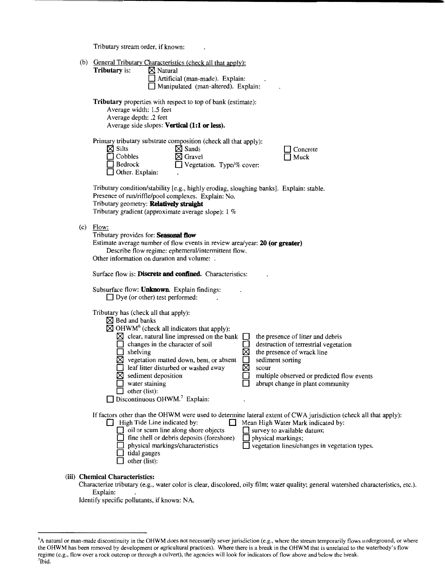Tributary stream order, if known:

| (b) | General Tributary Characteristics (check all that apply): |                     |  |
|-----|-----------------------------------------------------------|---------------------|--|
|     | <b>Tributary</b> is:                                      | $\boxtimes$ Natural |  |

| ry is: | $\boxtimes$ Natural                    |
|--------|----------------------------------------|
|        | $\Box$ Artificial (man-made). Explain: |
|        | Manipulated (man-altered). Explain:    |

**Tributary** properties with respect to top of bank (estimate): Average width: 1.5 feet Average depth: .2 feet

Average side slopes: **Vertical (1:1 or less).** 

|                        | Primary tributary substrate composition (check all that apply): |
|------------------------|-----------------------------------------------------------------|
| $\boxtimes$ Silts      | $\boxtimes$ Sands                                               |
| $\Box$ Cobbles         | $\boxtimes$ Gravel                                              |
| $\Box$ Bedrock         | $\Box$ Vegetation. Type/% cover:                                |
| $\Box$ Other. Explain: |                                                                 |

| $\Box$ Concrete |
|-----------------|
| $\Box$ Muck     |

Tributary condition/stability [e.g., highly eroding, sloughing banks]. Explain: stable. Presence of run/riffle/pool complexes. Explain: No. Tributary geometry: **Relatlvely straight**  Tributary gradient (approximate average slope): 1 %

(c) Flow:

Tributary provides for: Seasonal flow Estimate average number of flow events in review area/year: **20 (or greater)**  Describe flow regime: ephemeral/intermittent flow. Other information on duration and volume: .

Surface flow is: **Discrete and confined.** Characteristics:

Subsurface flow: **Unknown.** Explain findings: □ Dye (or other) test performed:

Tributary has (check all that apply):

| Fributary has (check all that apply):                                                                                                                                                   |                                                                                                                                                                                                                                                             |
|-----------------------------------------------------------------------------------------------------------------------------------------------------------------------------------------|-------------------------------------------------------------------------------------------------------------------------------------------------------------------------------------------------------------------------------------------------------------|
| $\boxtimes$ Bed and banks                                                                                                                                                               |                                                                                                                                                                                                                                                             |
| $\boxtimes$ OHWM <sup>6</sup> (check all indicators that apply):                                                                                                                        |                                                                                                                                                                                                                                                             |
| clear, natural line impressed on the bank<br>⋈                                                                                                                                          | the presence of litter and debris                                                                                                                                                                                                                           |
| changes in the character of soil                                                                                                                                                        | destruction of terrestrial vegetation                                                                                                                                                                                                                       |
| shelving                                                                                                                                                                                | the presence of wrack line<br>⋈                                                                                                                                                                                                                             |
| vegetation matted down, bent, or absent                                                                                                                                                 | sediment sorting                                                                                                                                                                                                                                            |
| leaf litter disturbed or washed away                                                                                                                                                    | X<br>scour                                                                                                                                                                                                                                                  |
| sediment deposition                                                                                                                                                                     | multiple observed or predicted flow events                                                                                                                                                                                                                  |
| water staining                                                                                                                                                                          | abrupt change in plant community                                                                                                                                                                                                                            |
| other (list):                                                                                                                                                                           |                                                                                                                                                                                                                                                             |
| Discontinuous OHWM. <sup>7</sup> Explain:                                                                                                                                               |                                                                                                                                                                                                                                                             |
| High Tide Line indicated by:<br>oil or scum line along shore objects<br>fine shell or debris deposits (foreshore)<br>physical markings/characteristics<br>tidal gauges<br>other (list): | If factors other than the OHWM were used to determine lateral extent of CWA jurisdiction (check all that apply):<br>Mean High Water Mark indicated by:<br>survey to available datum;<br>physical markings;<br>vegetation lines/changes in vegetation types. |
| (iii) Chemical Characteristics:                                                                                                                                                         |                                                                                                                                                                                                                                                             |

Characterize tributary (e.g., water color is clear, discolored, oily film; water quality; general watershed characteristics, etc.). Explain:

Identify specific pollutants, if known: NA.

<sup>&</sup>lt;sup>6</sup>A natural or man-made discontinuity in the OHWM does not necessarily sever jurisdiction (e.g., where the stream temporarily flows underground, or where the OHWM has been removed by development or agricultural practices). Where there is a break in the OHWM that is unrelated to the waterbody's flow regime (e.g., flow over a rock outcrop or through a culvert), the agencies will look for indicators of flow above and below the break. 7 <sup>7</sup>Ibid.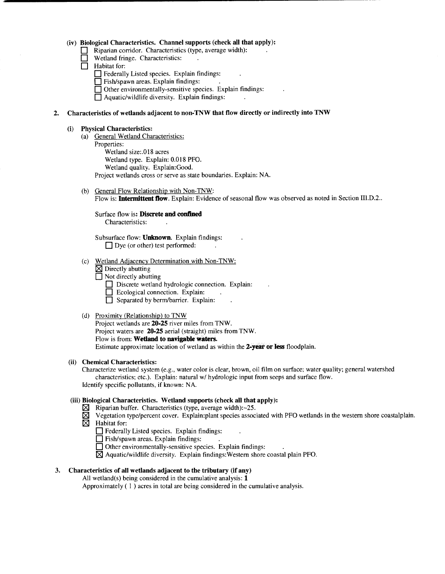#### **(iv) Biological Characteristics. Channel supports (check all that apply):**

- Riparian corridor. Characteristics (type, average width):
- Wetland fringe. Characteristics:
- **0** Habitat for:
	- □ Federally Listed species. Explain findings:
	- **0** Fish/spawn areas. Explain findings:
	- **0** Other environmentally-sensitive species. Explain findings:
	- $\Box$  Aquatic/wildlife diversity. Explain findings:

#### **2. Characteristics of wetlands adjacent to non-TNW that flow directly or indirectly into TNW**

#### **(i) Physical Characteristics:**

- (a) General Wetland Characteristics: Properties: Wetland size:.018 acres Wetland type. Explain: 0.018 PFO. Wetland quality. Explain:Good. Project wetlands cross or serve as state boundaries. Explain: NA.
- (b) General Flow Relationship with Non-TNW: Flow is: **Intermittent flow.** Explain: Evidence of seasonal flow was observed as noted in Section III.D.2 ..

### Surface flow is: **Discrete and confined**

Characteristics:

Subsurface flow: **Unknown.** Explain findings: □ Dye (or other) test performed:

- (c) Wetland Adjacency Determination with Non-TNW:
	- **[8l** Directly abutting
	- **0** Not directly abutting
		- **D** Discrete wetland hydrologic connection. Explain:
		- **D** Ecological connection. Explain:
		- **0** Separated by berm/barrier. Explain:

#### (d) Proximity (Relationship) to TNW

Project wetlands are **20-25** river miles from TNW. Project waters are **20-25** aerial (straight) miles from TNW. Flow is from: **Wetland to navigable waters.**  Estimate approximate location of wetland as within the **2-year or less** floodplain.

### **(ii) Chemical Characteristics:**

Characterize wetland system (e.g., water color is clear, brown, oil film on surface; water quality; general watershed characteristics; etc.). Explain: natural w/ hydrologic input from seeps and surface flow. Identify specific pollutants, if known: NA.

#### **(iii) Biological Characteristics. Wetland supports (check all that apply):**

- $\boxtimes$  Riparian buffer. Characteristics (type, average width): $\sim$ 25.
- **[8l** Vegetation type/percent cover. Explain:plant species associated with PFO wetlands in the western shore coastalplain. **[8l** Habitat for:
	- **1** Federally Listed species. Explain findings:
	- **0** Fish/spawn areas. Explain findings:
	- $\Box$  Other environmentally-sensitive species. Explain findings:
	- **[8l** Aquatic/wildlife diversity. Explain findings: Western shore coastal plain PFO.

## **3. Characteristics of all wetlands adjacent to the tributary (if any)**

All wetland(s) being considered in the cumulative analysis: **1** 

Approximately ( 1 ) acres in total are being considered in the cumulative analysis.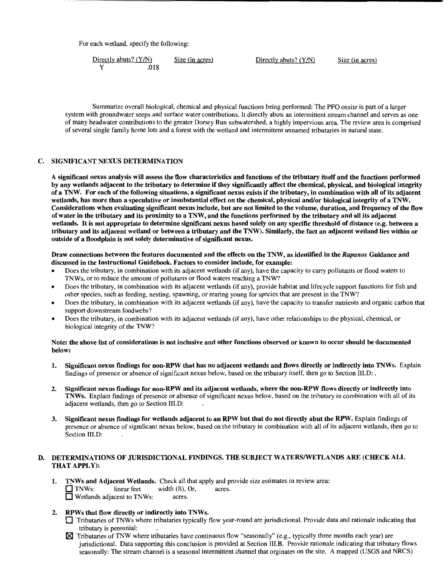For each wetland, specify the following:

Directly abuts? (Y/N) Size (in acres) Directly abuts? (Y/N) Size (in acres) Y .018

Summarize overall biological, chemical and physical functions being performed: The PFO onsite is part of a larger system with groundwater seeps and surface water contributions. It directly abuts an intermittent stream channel and serves as one of many headwater contributions to the greater Dorsey Run subwatershed, a highly impervious area. The review area is comprised of several single family home lots and a forest with the wetland and intermittent unnamed tributaries in natural state.

#### C. SIGNIFICANT NEXUS DETERMINATION

A significant nexus analysis will assess the flow characteristics and functions of the tributary itself and the functions performed by any wetlands adjacent to the tributary to determine if they significantly affect the chemical, physical, and biological integrity of a TNW. For each of the following situations, a significant nexus exists if the tributary, in combination with all of its adjacent wetlands, has more than a speculative or insubstantial effect on the chemical, physical and/or biological integrity of a TNW. Considerations when evaluating significant nexus include, but are not limited to the volume, duration, and frequency of the flow of water in the tributary and its proximity to a TNW, and the functions performed by the tributary and all its adjacent wetlands. It is not appropriate to determine significant nexus based solely on any specific threshold of distance (e.g. between a tributary and its adjacent wetland or between a tributary and the TNW). Similarly, the fact an adjacent wetland lies within or outside of a floodplain is not solely determinative of significant nexus.

#### Draw connections between the features documented and the effects on the TNW, as identified in the *Rapanos* Guidance and discussed in the Instructional Guidebook. Factors to consider include, for example:

- Does the tributary, in combination with its adjacent wetlands (if any), have the capacity to carry pollutants or flood waters to TNWs, or to reduce the amount of pollutants or flood waters reaching a TNW?
- Does the tributary, in combination with its adjacent wetlands (if any), provide habitat and lifecycle support functions for fish and other species, such as feeding, nesting, spawning, or rearing young for species that are present in the TNW?
- Does the tributary, in combination with its adjacent wetlands (if any), have the capacity to transfer nutrients and organic carbon that support downstream foodwebs?
- Does the tributary, in combination with its adjacent wetlands (if any), have other relationships to the physical, chemical, or biological integrity of the TNW?

#### Note: the above list of considerations is not inclusive and other functions observed or known to occur should be documented below:

- 1. Significant nexus findings for non-RPW that has no adjacent wetlands and flows directly or indirectly into TNWs. Explain findings of presence or absence of significant nexus below, based on the tributary itself, then go to Section III.D: .
- 2. Significant nexus findings for non-RPW and its adjacent wetlands, where the non-RPW flows directly or indirectly into TNWs. Explain findings of presence or absence of significant nexus below, based on the tributary in combination with all of its adjacent wetlands, then go to Section III.D:
- Significant nexus findings for wetlands adjacent to an RPW but that do not directly abut the RPW. Explain findings of presence or absence of significant nexus below, based on the tributary in combination with all of its adjacent wetlands, then go to Section III.D:

### D. DETERMINATIONS OF JURISDICTIONAL FINDINGS. THE SUBJECT WATERS/WETLANDS ARE (CHECK ALL THAT APPLY):

- 1. TNWs and Adjacent Wetlands. Check all that apply and provide size estimates in review area: 0 TNWs: linear feet width (ft), Or, acres. **E** Wetlands adjacent to TNWs: acres.
- 2. RPWs that flow directly or indirectly into TNWs.
	- $\Box$  Tributaries of TNWs where tributaries typically flow year-round are jurisdictional. Provide data and rationale indicating that tributary is perennial:
	- Tributaries of TNW where tributaries have continuous flow "seasonally" (e.g., typically three months each year) are jurisdictional. Data supporting this conclusion is provided at Section III.B. Provide rationale indicating that tributary flows seasonally: The stream channel is a seasonal intermittent channel that orginates on the site. A mapped (USGS and NRCS)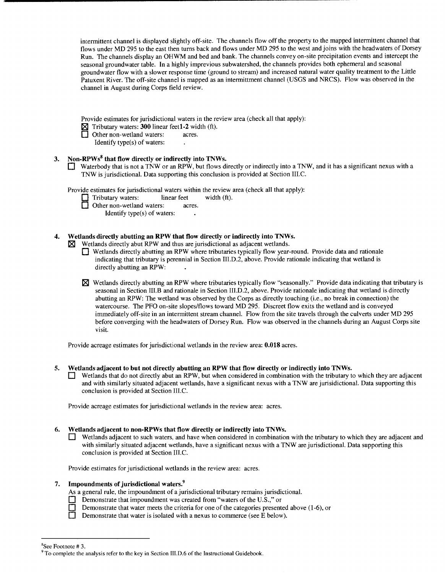intermittent channel is displayed slightly off-site. The channels flow off the property to the mapped intermittent channel that flows under MD 295 to the east then turns back and flows under MD 295 to the west and joins with the headwaters of Dorsey Run. The channels display an OHWM and bed and bank. The channels convey on-site precipitation events and intercept the seasonal groundwater table. In a highly imprevious subwatershed, the channels provides both ephemeral and seasonal groundwater flow with a slower response time (ground to stream) and increased natural water quality treatment to the Little Patuxent River. The off-site channel is mapped as an intermittment channel (USGS and NRCS). Flow was observed in the channel in August during Corps field review.

Provide estimates for jurisdictional waters in the review area (check all that apply):

**181** Tributary waters: **300** linear feetl-2 width (ft).

**1** Other non-wetland waters: acres.

Identify type(s) of waters:

## **3. Non-RPWs8 that flow directly or indirectly into TNWs.**

**0** Waterbody that is not a TNW or an RPW, but flows directly or indirectly into a TNW, and it has a significant nexus with a TNW is jurisdictional. Data supporting this conclusion is provided at Section III. C.

Provide estimates for jurisdictional waters within the review area (check all that apply):

**1** Tributary waters: linear feet width (ft).

Other non-wetland waters: acres.

Identify type(s) of waters:

## **4. Wetlands directly abutting an RPW that flow directly or indirectly into TNWs.**

**181** Wetlands directly abut RPW and thus are jurisdictional as adjacent wetlands.

**0** Wetlands directly abutting an RPW where tributaries typically flow year-round. Provide data and rationale indicating that tributary is perennial in Section III.D.2, above. Provide rationale indicating that wetland is directly abutting an RPW:

**<sup>181</sup>**Wetlands directly abutting an RPW where tributaries typically flow "seasonally." Provide data indicating that tributary is seasonal in Section III.B and rationale in Section III.D.2, above. Provide rationale indicating that wetland is directly abutting an RPW: The wetland was observed by the Corps as directly touching (i.e., no break in connection) the watercourse. The PFO on-site slopes/flows toward MD 295. Discreet flow exits the wetland and is conveyed immediately off-site in an intermittent stream channel. Flow from the site travels through the culverts under MD 295 before converging with the headwaters of Dorsey Run. Flow was observed in the channels during an August Corps site visit.

Provide acreage estimates for jurisdictional wetlands in the review area: **0.018** acres.

## **5. Wetlands adjacent to but not directly abutting an RPW that flow directly or indirectly into TNWs.**

**0** Wetlands that do not directly abut an RPW, but when considered in combination with the tributary to which they are adjacent and with similarly situated adjacent wetlands, have a significant nexus with a TNW are jurisidictional. Data supporting this conclusion is provided at Section III.C.

Provide acreage estimates for jurisdictional wetlands in the review area: acres.

## **6. Wetlands adjacent to non-RPWs that flow directly or indirectly into TNWs.**

Wetlands adjacent to such waters, and have when considered in combination with the tributary to which they are adjacent and with similarly situated adjacent wetlands, have a significant nexus with a TNW are jurisdictional. Data supporting this conclusion is provided at Section III.C.

Provide estimates for jurisdictional wetlands in the review area: acres.

## **7. Impoundments of jurisdictional waters.<sup>9</sup>**

As a general rule, the impoundment of a jurisdictional tributary remains jurisdictional.

- **Demonstrate that impoundment was created from "waters of the U.S.," or**
- **0** Demonstrate that water meets the criteria for one of the categories presented above (1-6), or
- Demonstrate that water is isolated with a nexus to commerce (see E below).

 ${}^{8}$ See Footnote #3.

 $9$  To complete the analysis refer to the key in Section III.D.6 of the Instructional Guidebook.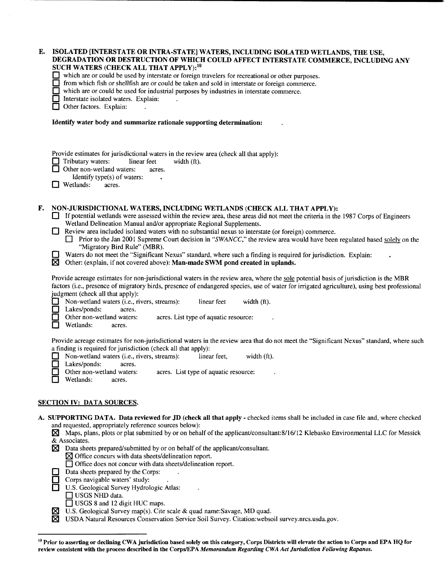| ISOLATED [INTERSTATE OR INTRA-STATE] WATERS, INCLUDING ISOLATED WETLANDS, THE USE,<br>DEGRADATION OR DESTRUCTION OF WHICH COULD AFFECT INTERSTATE COMMERCE, INCLUDING ANY<br>SUCH WATERS (CHECK ALL THAT APPLY): <sup>10</sup><br>which are or could be used by interstate or foreign travelers for recreational or other purposes.<br>from which fish or shellfish are or could be taken and sold in interstate or foreign commerce.<br>which are or could be used for industrial purposes by industries in interstate commerce.<br>Interstate isolated waters. Explain:<br>Other factors. Explain:                                                                                                                                                                                                                                                  |
|-------------------------------------------------------------------------------------------------------------------------------------------------------------------------------------------------------------------------------------------------------------------------------------------------------------------------------------------------------------------------------------------------------------------------------------------------------------------------------------------------------------------------------------------------------------------------------------------------------------------------------------------------------------------------------------------------------------------------------------------------------------------------------------------------------------------------------------------------------|
| Identify water body and summarize rationale supporting determination:                                                                                                                                                                                                                                                                                                                                                                                                                                                                                                                                                                                                                                                                                                                                                                                 |
| Provide estimates for jurisdictional waters in the review area (check all that apply):<br>Tributary waters:<br>linear feet<br>width (ft).<br>Other non-wetland waters:<br>acres.<br>Identify type(s) of waters:<br>Wetlands:<br>ŁΙ<br>acres.                                                                                                                                                                                                                                                                                                                                                                                                                                                                                                                                                                                                          |
| NON-JURISDICTIONAL WATERS, INCLUDING WETLANDS (CHECK ALL THAT APPLY):<br>If potential wetlands were assessed within the review area, these areas did not meet the criteria in the 1987 Corps of Engineers<br>Wetland Delineation Manual and/or appropriate Regional Supplements.<br>Review area included isolated waters with no substantial nexus to interstate (or foreign) commerce.<br>Prior to the Jan 2001 Supreme Court decision in "SWANCC," the review area would have been regulated based solely on the<br>"Migratory Bird Rule" (MBR).<br>Waters do not meet the "Significant Nexus" standard, where such a finding is required for jurisdiction. Explain:<br>図<br>Other: (explain, if not covered above): Man-made SWM pond created in uplands.                                                                                          |
| Provide acreage estimates for non-jurisdictional waters in the review area, where the sole potential basis of jurisdiction is the MBR<br>factors (i.e., presence of migratory birds, presence of endangered species, use of water for irrigated agriculture), using best professional<br>judgment (check all that apply):<br>Non-wetland waters (i.e., rivers, streams):<br>linear feet<br>width (ft).<br>Lakes/ponds:<br>acres.<br>Ŀ,<br>Other non-wetland waters:<br>acres. List type of aquatic resource:<br>П<br>Wetlands:<br>acres.                                                                                                                                                                                                                                                                                                              |
| Provide acreage estimates for non-jurisdictional waters in the review area that do not meet the "Significant Nexus" standard, where such<br>a finding is required for jurisdiction (check all that apply):<br>Non-wetland waters (i.e., rivers, streams):<br>linear feet,<br>width (ft).<br>Lakes/ponds:<br>acres.<br>Other non-wetland waters:<br>acres. List type of aquatic resource:<br>Wetlands:<br>acres.                                                                                                                                                                                                                                                                                                                                                                                                                                       |
| <b>SECTION IV: DATA SOURCES.</b>                                                                                                                                                                                                                                                                                                                                                                                                                                                                                                                                                                                                                                                                                                                                                                                                                      |
| A. SUPPORTING DATA. Data reviewed for JD (check all that apply - checked items shall be included in case file and, where checked<br>and requested, appropriately reference sources below):<br>Maps, plans, plots or plat submitted by or on behalf of the applicant/consultant:8/16/12 Klebasko Environmental LLC for Messick<br>& Associates.<br>Data sheets prepared/submitted by or on behalf of the applicant/consultant.<br>$\boxtimes$<br>$\boxtimes$ Office concurs with data sheets/delineation report.<br>□ Office does not concur with data sheets/delineation report.<br>Data sheets prepared by the Corps:<br>Corps navigable waters' study:<br>U.S. Geological Survey Hydrologic Atlas:<br>$\Box$ USGS NHD data.<br>$\Box$ USGS 8 and 12 digit HUC maps.<br>U.S. Geological Survey map(s). Cite scale & quad name: Savage, MD quad.<br>⊠ |
|                                                                                                                                                                                                                                                                                                                                                                                                                                                                                                                                                                                                                                                                                                                                                                                                                                                       |

181 USDA Natural Resources Conservation Service Soil Survey. Citation:websoil survey.nrcs.usda.gov.

 $^{10}$  Prior to asserting or declining CWA jurisdiction based solely on this category, Corps Districts will elevate the action to Corps and EPA HQ for review consistent with the process described in the Corps/EPA *Memorandum Regarding CWA Act Jurisdiction Following Rapanos.*